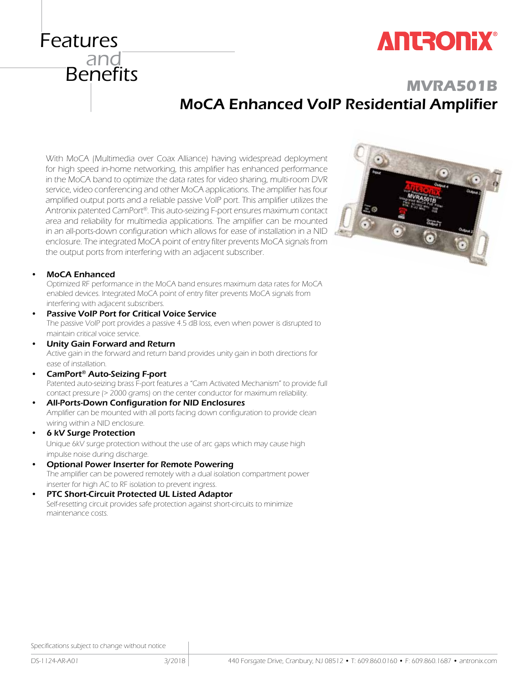Specifications subject to change without notice

## **MVRA501B** MoCA Enhanced VoIP Residential Amplifier

With MoCA (Multimedia over Coax Alliance) having widespread deployment for high speed in-home networking, this amplifier has enhanced performance in the MoCA band to optimize the data rates for video sharing, multi-room DVR service, video conferencing and other MoCA applications. The amplifier has four amplified output ports and a reliable passive VoIP port. This amplifier utilizes the Antronix patented CamPort®. This auto-seizing F-port ensures maximum contact area and reliability for multimedia applications. The amplifier can be mounted in an all-ports-down configuration which allows for ease of installation in a NID enclosure. The integrated MoCA point of entry filter prevents MoCA signals from the output ports from interfering with an adjacent subscriber.

#### MoCA Enhanced

Features

<sub>-</sub><br>and

**Benefits** 

Optimized RF performance in the MoCA band ensures maximum data rates for MoCA enabled devices. Integrated MoCA point of entry filter prevents MoCA signals from interfering with adjacent subscribers.

- Passive VoIP Port for Critical Voice Service The passive VoIP port provides a passive 4.5 dB loss, even when power is disrupted to maintain critical voice service.
- Unity Gain Forward and Return Active gain in the forward and return band provides unity gain in both directions for ease of installation.
- CamPort<sup>®</sup> Auto-Seizing F-port Patented auto-seizing brass F-port features a "Cam Activated Mechanism" to provide full contact pressure (> 2000 grams) on the center conductor for maximum reliability.
- All-Ports-Down Configuration for NID Enclosures Amplifier can be mounted with all ports facing down configuration to provide clean wiring within a NID enclosure.
- **6 kV Surge Protection**

 Unique 6kV surge protection without the use of arc gaps which may cause high impulse noise during discharge.

- **Optional Power Inserter for Remote Powering** The amplifier can be powered remotely with a dual isolation compartment power inserter for high AC to RF isolation to prevent ingress.
- PTC Short-Circuit Protected UL Listed Adaptor Self-resetting circuit provides safe protection against short-circuits to minimize maintenance costs.



# **ANTRONIX®**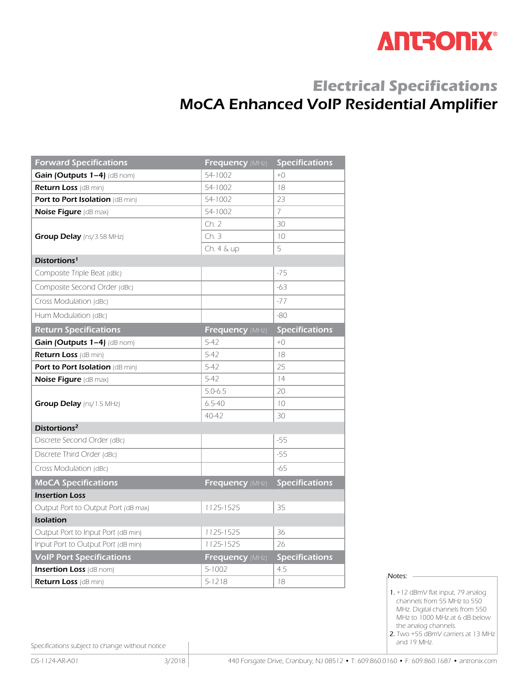

### **Electrical Specifications**  MoCA Enhanced VoIP Residential Amplifier

| <b>Forward Specifications</b>          | <b>Frequency (MHz)</b> | <b>Specifications</b> |  |
|----------------------------------------|------------------------|-----------------------|--|
| Gain (Outputs $1-4$ ) (dB nom)         | 54-1002                | $+()$                 |  |
| <b>Return Loss</b> (dB min)            | 54-1002                | 18                    |  |
| <b>Port to Port Isolation (dB min)</b> | 54-1002                | 23                    |  |
| <b>Noise Figure (dB max)</b>           | 54-1002                | $\overline{7}$        |  |
|                                        | Ch. 2                  | 30                    |  |
| <b>Group Delay</b> (ns/3.58 MHz)       | Ch.3                   | 10                    |  |
|                                        | Ch. 4 & up             | 5                     |  |
| Distortions <sup>1</sup>               |                        |                       |  |
| Composite Triple Beat (dBc)            |                        | $-75$                 |  |
| Composite Second Order (dBc)           |                        | $-63$                 |  |
| Cross Modulation (dBc)                 |                        | $-77$                 |  |
| Hum Modulation (dBc)                   |                        | $-80$                 |  |
| <b>Return Specifications</b>           | Frequency (MHz)        | <b>Specifications</b> |  |
| Gain (Outputs 1-4) (dB nom)            | $5 - 47$               | $+()$                 |  |
| <b>Return Loss (dB min)</b>            | $5 - 42$               | 18                    |  |
| Port to Port Isolation (dB min)        | $5 - 47$               | 25                    |  |
| <b>Noise Figure (dB max)</b>           | $5 - 42$               | 14                    |  |
|                                        | $5.0 - 6.5$            | 20                    |  |
| <b>Group Delay</b> (ns/1.5 MHz)        | $6.5 - 40$             | 10                    |  |
|                                        | 40-42                  | 30                    |  |
| Distortions <sup>2</sup>               |                        |                       |  |
| Discrete Second Order (dBc)            |                        | $-55$                 |  |
| Discrete Third Order (dBc)             |                        | $-55$                 |  |
| Cross Modulation (dBc)                 |                        | $-65$                 |  |
| <b>MoCA Specifications</b>             | Frequency (MHz)        | <b>Specifications</b> |  |
| <b>Insertion Loss</b>                  |                        |                       |  |
| Output Port to Output Port (dB max)    | 1125-1525              | 35                    |  |
| <b>Isolation</b>                       |                        |                       |  |
| Output Port to Input Port (dB min)     | 1125-1525              | 36                    |  |
| Input Port to Output Port (dB min)     | 1125-1525              | 26                    |  |
| <b>VoIP Port Specifications</b>        | <b>Frequency (MHz)</b> | <b>Specifications</b> |  |
| <b>Insertion Loss</b> (dB nom)         | 5-1002                 | 4.5                   |  |
| <b>Return Loss (dB min)</b>            | 5-1218                 | 18                    |  |

Notes: -

and 19 MHz.

Specifications subject to change without notice

 <sup>1.</sup> +12 dBmV flat input, 79 analog channels from 55 MHz to 550 MHz. Digital channels from 550 MHz to 1000 MHz at 6 dB below the analog channels. 2. Two +55 dBmV carriers at 13 MHz